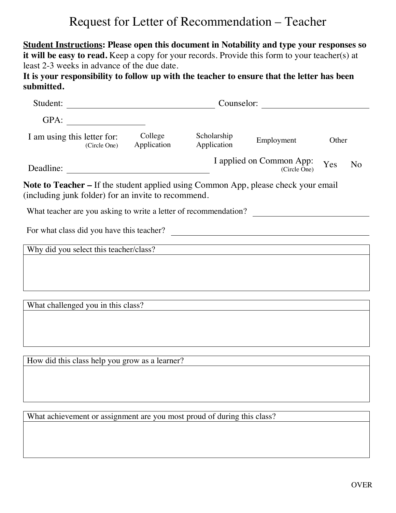## Request for Letter of Recommendation – Teacher

**Student Instructions: Please open this document in Notability and type your responses so**  it will be easy to read. Keep a copy for your records. Provide this form to your teacher(s) at least 2-3 weeks in advance of the due date.

**It is your responsibility to follow up with the teacher to ensure that the letter has been submitted.**

| Student:                                                                                                                                                       | Counselor:<br><u> 1989 - Johann Barbara, martin basa</u> |                                                       |                            |                                          |       |                |
|----------------------------------------------------------------------------------------------------------------------------------------------------------------|----------------------------------------------------------|-------------------------------------------------------|----------------------------|------------------------------------------|-------|----------------|
| GPA:                                                                                                                                                           |                                                          |                                                       |                            |                                          |       |                |
| I am using this letter for:                                                                                                                                    | (Circle One)                                             | College<br>Application                                | Scholarship<br>Application | Employment                               | Other |                |
| Deadline:                                                                                                                                                      |                                                          | <u> 1980 - Johann Stoff, fransk politik (d. 1980)</u> |                            | I applied on Common App:<br>(Circle One) | Yes   | N <sub>o</sub> |
| <b>Note to Teacher –</b> If the student applied using Common App, please check your email<br>(including junk folder) for an invite to recommend.               |                                                          |                                                       |                            |                                          |       |                |
| What teacher are you asking to write a letter of recommendation?                                                                                               |                                                          |                                                       |                            |                                          |       |                |
| For what class did you have this teacher?                                                                                                                      |                                                          |                                                       |                            |                                          |       |                |
| Why did you select this teacher/class?<br><u> 1980 - Johann John Stein, marwolaeth a breisinn a breisinn a breisinn a breisinn a breisinn a breisinn a bre</u> |                                                          |                                                       |                            |                                          |       |                |
|                                                                                                                                                                |                                                          |                                                       |                            |                                          |       |                |
| What challenged you in this class?                                                                                                                             |                                                          |                                                       |                            |                                          |       |                |
|                                                                                                                                                                |                                                          |                                                       |                            |                                          |       |                |
|                                                                                                                                                                |                                                          |                                                       |                            |                                          |       |                |
|                                                                                                                                                                |                                                          | How did this class help you grow as a learner?        |                            |                                          |       |                |
|                                                                                                                                                                |                                                          |                                                       |                            |                                          |       |                |

What achievement or assignment are you most proud of during this class?